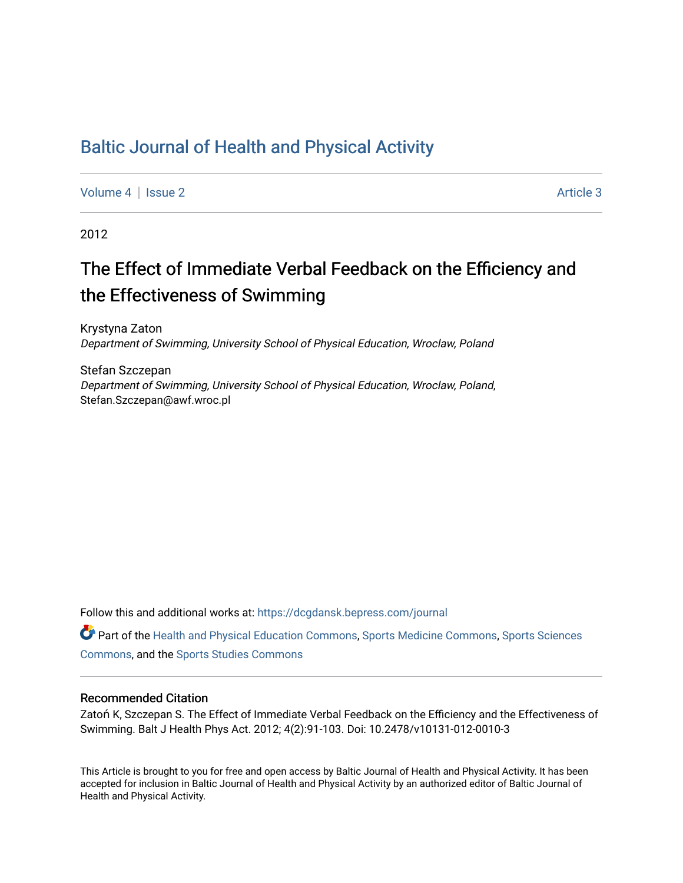## [Baltic Journal of Health and Physical Activity](https://dcgdansk.bepress.com/journal)

[Volume 4](https://dcgdansk.bepress.com/journal/vol4) | [Issue 2](https://dcgdansk.bepress.com/journal/vol4/iss2) Article 3

2012

# The Effect of Immediate Verbal Feedback on the Efficiency and the Effectiveness of Swimming

Krystyna Zaton Department of Swimming, University School of Physical Education, Wroclaw, Poland

Stefan Szczepan Department of Swimming, University School of Physical Education, Wroclaw, Poland, Stefan.Szczepan@awf.wroc.pl

Follow this and additional works at: [https://dcgdansk.bepress.com/journal](https://dcgdansk.bepress.com/journal?utm_source=dcgdansk.bepress.com%2Fjournal%2Fvol4%2Fiss2%2F3&utm_medium=PDF&utm_campaign=PDFCoverPages)

Part of the [Health and Physical Education Commons](http://network.bepress.com/hgg/discipline/1327?utm_source=dcgdansk.bepress.com%2Fjournal%2Fvol4%2Fiss2%2F3&utm_medium=PDF&utm_campaign=PDFCoverPages), [Sports Medicine Commons,](http://network.bepress.com/hgg/discipline/1331?utm_source=dcgdansk.bepress.com%2Fjournal%2Fvol4%2Fiss2%2F3&utm_medium=PDF&utm_campaign=PDFCoverPages) [Sports Sciences](http://network.bepress.com/hgg/discipline/759?utm_source=dcgdansk.bepress.com%2Fjournal%2Fvol4%2Fiss2%2F3&utm_medium=PDF&utm_campaign=PDFCoverPages) [Commons](http://network.bepress.com/hgg/discipline/759?utm_source=dcgdansk.bepress.com%2Fjournal%2Fvol4%2Fiss2%2F3&utm_medium=PDF&utm_campaign=PDFCoverPages), and the [Sports Studies Commons](http://network.bepress.com/hgg/discipline/1198?utm_source=dcgdansk.bepress.com%2Fjournal%2Fvol4%2Fiss2%2F3&utm_medium=PDF&utm_campaign=PDFCoverPages) 

#### Recommended Citation

Zatoń K, Szczepan S. The Effect of Immediate Verbal Feedback on the Efficiency and the Effectiveness of Swimming. Balt J Health Phys Act. 2012; 4(2):91-103. Doi: 10.2478/v10131-012-0010-3

This Article is brought to you for free and open access by Baltic Journal of Health and Physical Activity. It has been accepted for inclusion in Baltic Journal of Health and Physical Activity by an authorized editor of Baltic Journal of Health and Physical Activity.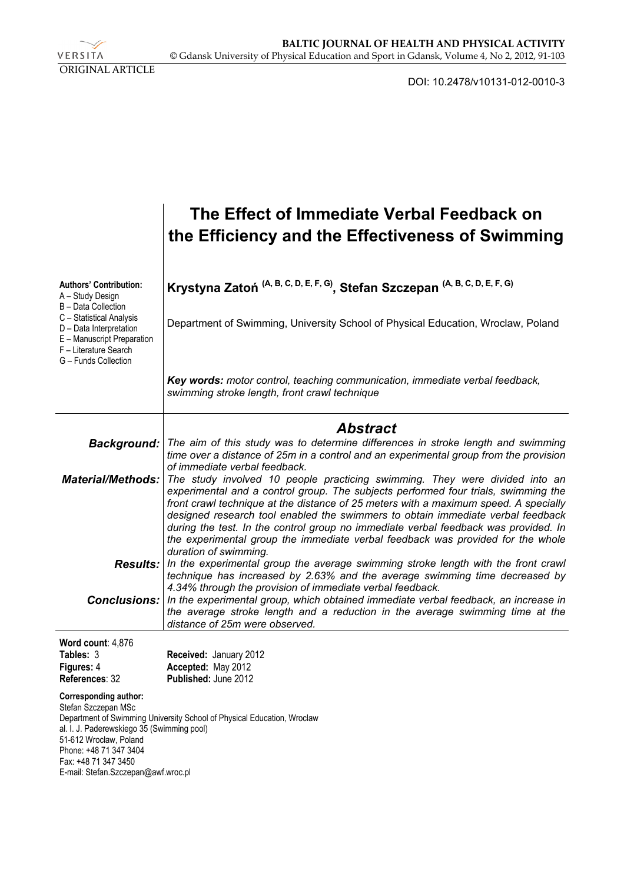VERSITA ORIGINAL ARTICLE

DOI: 10.2478/v10131-012-0010-3

|                                                                                                                                                                                                               | The Effect of Immediate Verbal Feedback on<br>the Efficiency and the Effectiveness of Swimming                                                                                                                                                                                                                                                                                                                                                                                                                                                  |
|---------------------------------------------------------------------------------------------------------------------------------------------------------------------------------------------------------------|-------------------------------------------------------------------------------------------------------------------------------------------------------------------------------------------------------------------------------------------------------------------------------------------------------------------------------------------------------------------------------------------------------------------------------------------------------------------------------------------------------------------------------------------------|
| <b>Authors' Contribution:</b><br>A - Study Design<br>B - Data Collection                                                                                                                                      | Krystyna Zatoń <sup>(A, B, C, D, E, F, G)</sup> , Stefan Szczepan <sup>(A, B, C, D, E, F, G)</sup>                                                                                                                                                                                                                                                                                                                                                                                                                                              |
| C - Statistical Analysis<br>D - Data Interpretation<br>E - Manuscript Preparation<br>F - Literature Search<br>G - Funds Collection                                                                            | Department of Swimming, University School of Physical Education, Wroclaw, Poland                                                                                                                                                                                                                                                                                                                                                                                                                                                                |
|                                                                                                                                                                                                               | Key words: motor control, teaching communication, immediate verbal feedback,<br>swimming stroke length, front crawl technique                                                                                                                                                                                                                                                                                                                                                                                                                   |
|                                                                                                                                                                                                               | <b>Abstract</b>                                                                                                                                                                                                                                                                                                                                                                                                                                                                                                                                 |
| Background:                                                                                                                                                                                                   | The aim of this study was to determine differences in stroke length and swimming<br>time over a distance of 25m in a control and an experimental group from the provision<br>of immediate verbal feedback.                                                                                                                                                                                                                                                                                                                                      |
| <b>Material/Methods:</b>                                                                                                                                                                                      | The study involved 10 people practicing swimming. They were divided into an<br>experimental and a control group. The subjects performed four trials, swimming the<br>front crawl technique at the distance of 25 meters with a maximum speed. A specially<br>designed research tool enabled the swimmers to obtain immediate verbal feedback<br>during the test. In the control group no immediate verbal feedback was provided. In<br>the experimental group the immediate verbal feedback was provided for the whole<br>duration of swimming. |
|                                                                                                                                                                                                               | <b>Results:</b> In the experimental group the average swimming stroke length with the front crawl<br>technique has increased by 2.63% and the average swimming time decreased by<br>4.34% through the provision of immediate verbal feedback.                                                                                                                                                                                                                                                                                                   |
| Conclusions:                                                                                                                                                                                                  | In the experimental group, which obtained immediate verbal feedback, an increase in<br>the average stroke length and a reduction in the average swimming time at the<br>distance of 25m were observed.                                                                                                                                                                                                                                                                                                                                          |
| Word count: 4,876                                                                                                                                                                                             |                                                                                                                                                                                                                                                                                                                                                                                                                                                                                                                                                 |
| Tables: 3                                                                                                                                                                                                     | Received: January 2012                                                                                                                                                                                                                                                                                                                                                                                                                                                                                                                          |
| Figures: 4<br>References: 32                                                                                                                                                                                  | Accepted: May 2012<br>Published: June 2012                                                                                                                                                                                                                                                                                                                                                                                                                                                                                                      |
| Corresponding author:<br>Stefan Szczepan MSc<br>al. I. J. Paderewskiego 35 (Swimming pool)<br>51-612 Wrocław, Poland<br>Phone: +48 71 347 3404<br>Fax: +48 71 347 3450<br>E-mail: Stefan.Szczepan@awf.wroc.pl | Department of Swimming University School of Physical Education, Wroclaw                                                                                                                                                                                                                                                                                                                                                                                                                                                                         |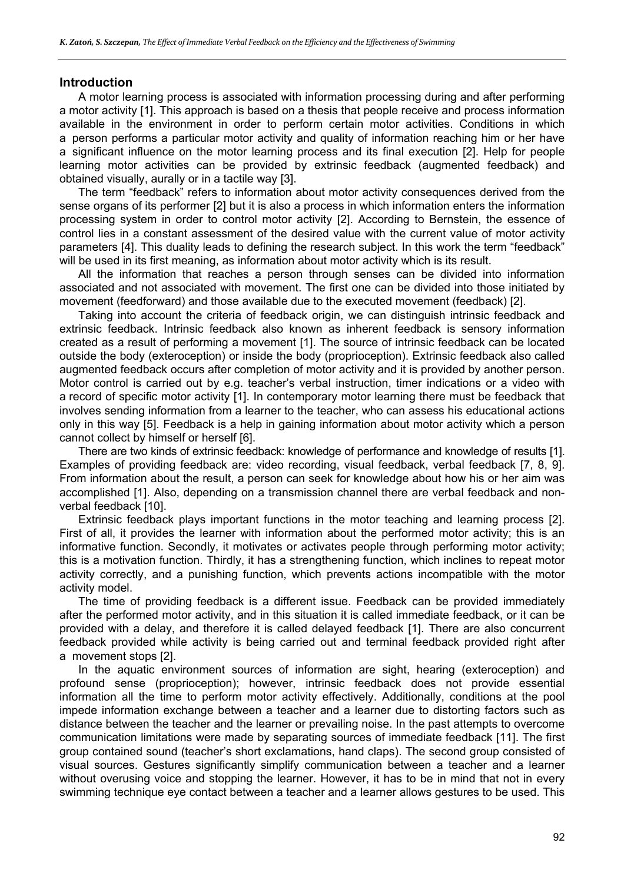#### **Introduction**

A motor learning process is associated with information processing during and after performing a motor activity [1]. This approach is based on a thesis that people receive and process information available in the environment in order to perform certain motor activities. Conditions in which a person performs a particular motor activity and quality of information reaching him or her have a significant influence on the motor learning process and its final execution [2]. Help for people learning motor activities can be provided by extrinsic feedback (augmented feedback) and obtained visually, aurally or in a tactile way [3].

The term "feedback" refers to information about motor activity consequences derived from the sense organs of its performer [2] but it is also a process in which information enters the information processing system in order to control motor activity [2]. According to Bernstein, the essence of control lies in a constant assessment of the desired value with the current value of motor activity parameters [4]. This duality leads to defining the research subject. In this work the term "feedback" will be used in its first meaning, as information about motor activity which is its result.

All the information that reaches a person through senses can be divided into information associated and not associated with movement. The first one can be divided into those initiated by movement (feedforward) and those available due to the executed movement (feedback) [2].

Taking into account the criteria of feedback origin, we can distinguish intrinsic feedback and extrinsic feedback. Intrinsic feedback also known as inherent feedback is sensory information created as a result of performing a movement [1]. The source of intrinsic feedback can be located outside the body (exteroception) or inside the body (proprioception). Extrinsic feedback also called augmented feedback occurs after completion of motor activity and it is provided by another person. Motor control is carried out by e.g. teacher's verbal instruction, timer indications or a video with a record of specific motor activity [1]. In contemporary motor learning there must be feedback that involves sending information from a learner to the teacher, who can assess his educational actions only in this way [5]. Feedback is a help in gaining information about motor activity which a person cannot collect by himself or herself [6].

There are two kinds of extrinsic feedback: knowledge of performance and knowledge of results [1]. Examples of providing feedback are: video recording, visual feedback, verbal feedback [7, 8, 9]. From information about the result, a person can seek for knowledge about how his or her aim was accomplished [1]. Also, depending on a transmission channel there are verbal feedback and nonverbal feedback [10].

Extrinsic feedback plays important functions in the motor teaching and learning process [2]. First of all, it provides the learner with information about the performed motor activity; this is an informative function. Secondly, it motivates or activates people through performing motor activity; this is a motivation function. Thirdly, it has a strengthening function, which inclines to repeat motor activity correctly, and a punishing function, which prevents actions incompatible with the motor activity model.

The time of providing feedback is a different issue. Feedback can be provided immediately after the performed motor activity, and in this situation it is called immediate feedback, or it can be provided with a delay, and therefore it is called delayed feedback [1]. There are also concurrent feedback provided while activity is being carried out and terminal feedback provided right after a movement stops [2].

In the aquatic environment sources of information are sight, hearing (exteroception) and profound sense (proprioception); however, intrinsic feedback does not provide essential information all the time to perform motor activity effectively. Additionally, conditions at the pool impede information exchange between a teacher and a learner due to distorting factors such as distance between the teacher and the learner or prevailing noise. In the past attempts to overcome communication limitations were made by separating sources of immediate feedback [11]. The first group contained sound (teacher's short exclamations, hand claps). The second group consisted of visual sources. Gestures significantly simplify communication between a teacher and a learner without overusing voice and stopping the learner. However, it has to be in mind that not in every swimming technique eye contact between a teacher and a learner allows gestures to be used. This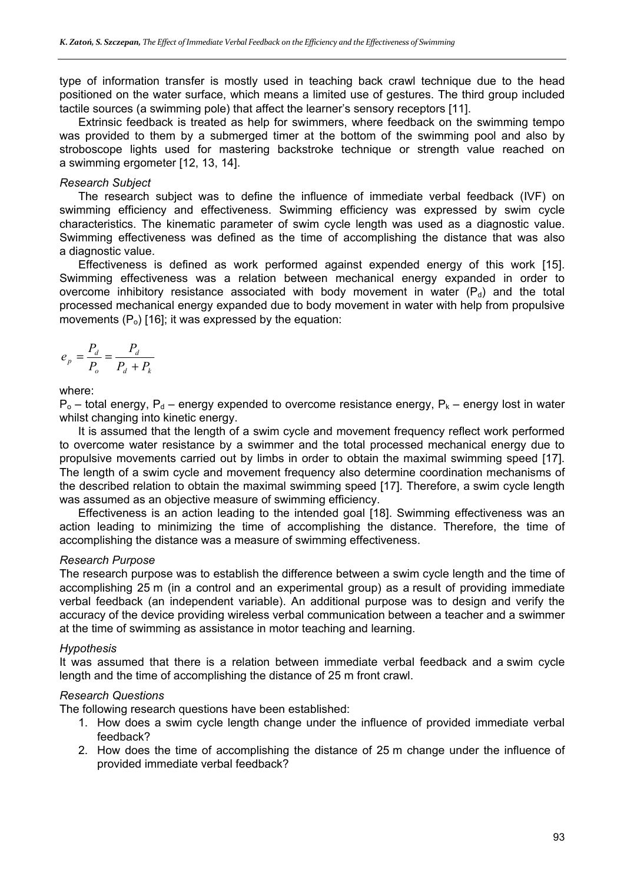type of information transfer is mostly used in teaching back crawl technique due to the head positioned on the water surface, which means a limited use of gestures. The third group included tactile sources (a swimming pole) that affect the learner's sensory receptors [11].

Extrinsic feedback is treated as help for swimmers, where feedback on the swimming tempo was provided to them by a submerged timer at the bottom of the swimming pool and also by stroboscope lights used for mastering backstroke technique or strength value reached on a swimming ergometer [12, 13, 14].

#### *Research Subject*

The research subject was to define the influence of immediate verbal feedback (IVF) on swimming efficiency and effectiveness. Swimming efficiency was expressed by swim cycle characteristics. The kinematic parameter of swim cycle length was used as a diagnostic value. Swimming effectiveness was defined as the time of accomplishing the distance that was also a diagnostic value.

Effectiveness is defined as work performed against expended energy of this work [15]. Swimming effectiveness was a relation between mechanical energy expanded in order to overcome inhibitory resistance associated with body movement in water  $(P_d)$  and the total processed mechanical energy expanded due to body movement in water with help from propulsive movements  $(P_0)$  [16]; it was expressed by the equation:

$$
e_p = \frac{P_d}{P_o} = \frac{P_d}{P_d + P_k}
$$

where:

 $P_0$  – total energy,  $P_d$  – energy expended to overcome resistance energy,  $P_k$  – energy lost in water whilst changing into kinetic energy.

It is assumed that the length of a swim cycle and movement frequency reflect work performed to overcome water resistance by a swimmer and the total processed mechanical energy due to propulsive movements carried out by limbs in order to obtain the maximal swimming speed [17]. The length of a swim cycle and movement frequency also determine coordination mechanisms of the described relation to obtain the maximal swimming speed [17]. Therefore, a swim cycle length was assumed as an objective measure of swimming efficiency.

Effectiveness is an action leading to the intended goal [18]. Swimming effectiveness was an action leading to minimizing the time of accomplishing the distance. Therefore, the time of accomplishing the distance was a measure of swimming effectiveness.

#### *Research Purpose*

The research purpose was to establish the difference between a swim cycle length and the time of accomplishing 25 m (in a control and an experimental group) as a result of providing immediate verbal feedback (an independent variable). An additional purpose was to design and verify the accuracy of the device providing wireless verbal communication between a teacher and a swimmer at the time of swimming as assistance in motor teaching and learning.

#### *Hypothesis*

It was assumed that there is a relation between immediate verbal feedback and a swim cycle length and the time of accomplishing the distance of 25 m front crawl.

#### *Research Questions*

The following research questions have been established:

- 1. How does a swim cycle length change under the influence of provided immediate verbal feedback?
- 2. How does the time of accomplishing the distance of 25 m change under the influence of provided immediate verbal feedback?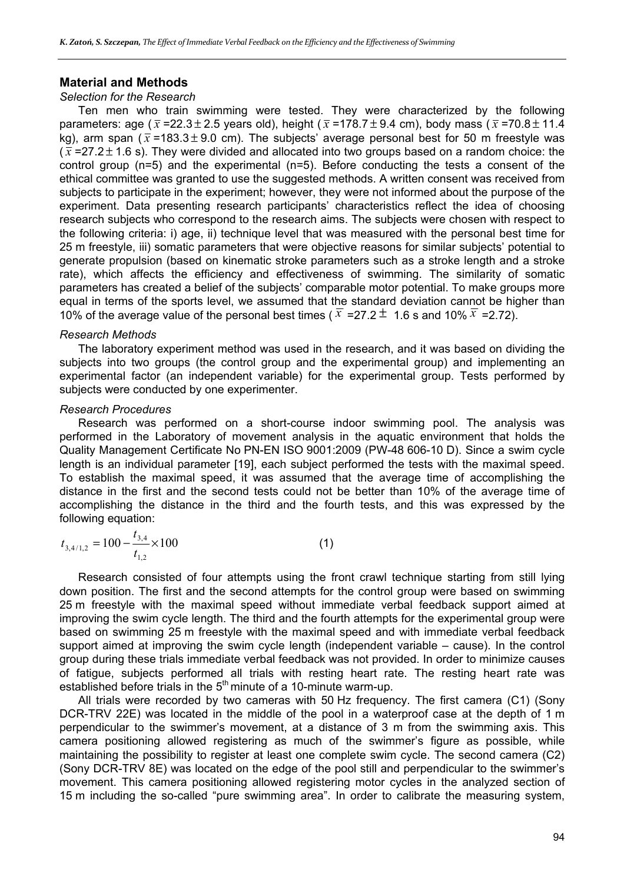#### **Material and Methods**

#### *Selection for the Research*

Ten men who train swimming were tested. They were characterized by the following parameters: age ( $\bar{x}$  =22.3 ± 2.5 years old), height ( $\bar{x}$  =178.7 ± 9.4 cm), body mass ( $\bar{x}$  =70.8 ± 11.4 kg), arm span ( $\bar{x}$  =183.3 ± 9.0 cm). The subjects' average personal best for 50 m freestyle was  $(\bar{x}$  =27.2  $\pm$  1.6 s). They were divided and allocated into two groups based on a random choice: the control group (n=5) and the experimental (n=5). Before conducting the tests a consent of the ethical committee was granted to use the suggested methods. A written consent was received from subjects to participate in the experiment; however, they were not informed about the purpose of the experiment. Data presenting research participants' characteristics reflect the idea of choosing research subjects who correspond to the research aims. The subjects were chosen with respect to the following criteria: i) age, ii) technique level that was measured with the personal best time for 25 m freestyle, iii) somatic parameters that were objective reasons for similar subjects' potential to generate propulsion (based on kinematic stroke parameters such as a stroke length and a stroke rate), which affects the efficiency and effectiveness of swimming. The similarity of somatic parameters has created a belief of the subjects' comparable motor potential. To make groups more equal in terms of the sports level, we assumed that the standard deviation cannot be higher than 10% of the average value of the personal best times ( $\overline{x}$  =27.2  $\pm$  1.6 s and 10%  $\overline{x}$  =2.72).

#### *Research Methods*

The laboratory experiment method was used in the research, and it was based on dividing the subjects into two groups (the control group and the experimental group) and implementing an experimental factor (an independent variable) for the experimental group. Tests performed by subjects were conducted by one experimenter.

#### *Research Procedures*

Research was performed on a short-course indoor swimming pool. The analysis was performed in the Laboratory of movement analysis in the aquatic environment that holds the Quality Management Certificate No PN-EN ISO 9001:2009 (PW-48 606-10 D). Since a swim cycle length is an individual parameter [19], each subject performed the tests with the maximal speed. To establish the maximal speed, it was assumed that the average time of accomplishing the distance in the first and the second tests could not be better than 10% of the average time of accomplishing the distance in the third and the fourth tests, and this was expressed by the following equation:

$$
t_{3,4/1,2} = 100 - \frac{t_{3,4}}{t_{1,2}} \times 100
$$
 (1)

Research consisted of four attempts using the front crawl technique starting from still lying down position. The first and the second attempts for the control group were based on swimming 25 m freestyle with the maximal speed without immediate verbal feedback support aimed at improving the swim cycle length. The third and the fourth attempts for the experimental group were based on swimming 25 m freestyle with the maximal speed and with immediate verbal feedback support aimed at improving the swim cycle length (independent variable – cause). In the control group during these trials immediate verbal feedback was not provided. In order to minimize causes of fatigue, subjects performed all trials with resting heart rate. The resting heart rate was established before trials in the  $5<sup>th</sup>$  minute of a 10-minute warm-up.

All trials were recorded by two cameras with 50 Hz frequency. The first camera (C1) (Sony DCR-TRV 22E) was located in the middle of the pool in a waterproof case at the depth of 1 m perpendicular to the swimmer's movement, at a distance of 3 m from the swimming axis. This camera positioning allowed registering as much of the swimmer's figure as possible, while maintaining the possibility to register at least one complete swim cycle. The second camera (C2) (Sony DCR-TRV 8E) was located on the edge of the pool still and perpendicular to the swimmer's movement. This camera positioning allowed registering motor cycles in the analyzed section of 15 m including the so-called "pure swimming area". In order to calibrate the measuring system,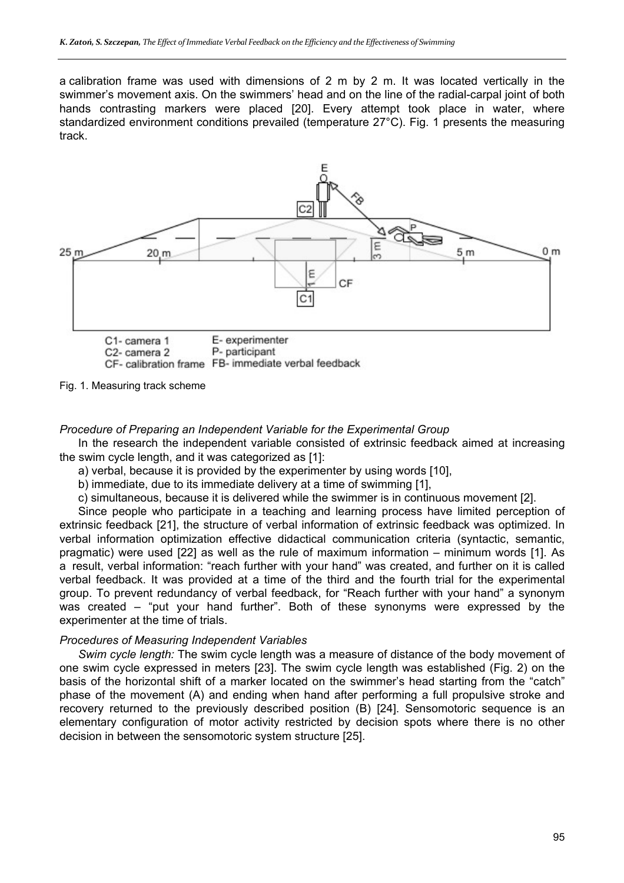a calibration frame was used with dimensions of 2 m by 2 m. It was located vertically in the swimmer's movement axis. On the swimmers' head and on the line of the radial-carpal joint of both hands contrasting markers were placed [20]. Every attempt took place in water, where standardized environment conditions prevailed (temperature 27°C). Fig. 1 presents the measuring track.



Fig. 1. Measuring track scheme

#### *Procedure of Preparing an Independent Variable for the Experimental Group*

In the research the independent variable consisted of extrinsic feedback aimed at increasing the swim cycle length, and it was categorized as [1]:

a) verbal, because it is provided by the experimenter by using words [10],

b) immediate, due to its immediate delivery at a time of swimming [1],

c) simultaneous, because it is delivered while the swimmer is in continuous movement [2].

Since people who participate in a teaching and learning process have limited perception of extrinsic feedback [21], the structure of verbal information of extrinsic feedback was optimized. In verbal information optimization effective didactical communication criteria (syntactic, semantic, pragmatic) were used [22] as well as the rule of maximum information – minimum words [1]. As a result, verbal information: "reach further with your hand" was created, and further on it is called verbal feedback. It was provided at a time of the third and the fourth trial for the experimental group. To prevent redundancy of verbal feedback, for "Reach further with your hand" a synonym was created – "put your hand further". Both of these synonyms were expressed by the experimenter at the time of trials.

#### *Procedures of Measuring Independent Variables*

*Swim cycle length:* The swim cycle length was a measure of distance of the body movement of one swim cycle expressed in meters [23]. The swim cycle length was established (Fig. 2) on the basis of the horizontal shift of a marker located on the swimmer's head starting from the "catch" phase of the movement (A) and ending when hand after performing a full propulsive stroke and recovery returned to the previously described position (B) [24]. Sensomotoric sequence is an elementary configuration of motor activity restricted by decision spots where there is no other decision in between the sensomotoric system structure [25].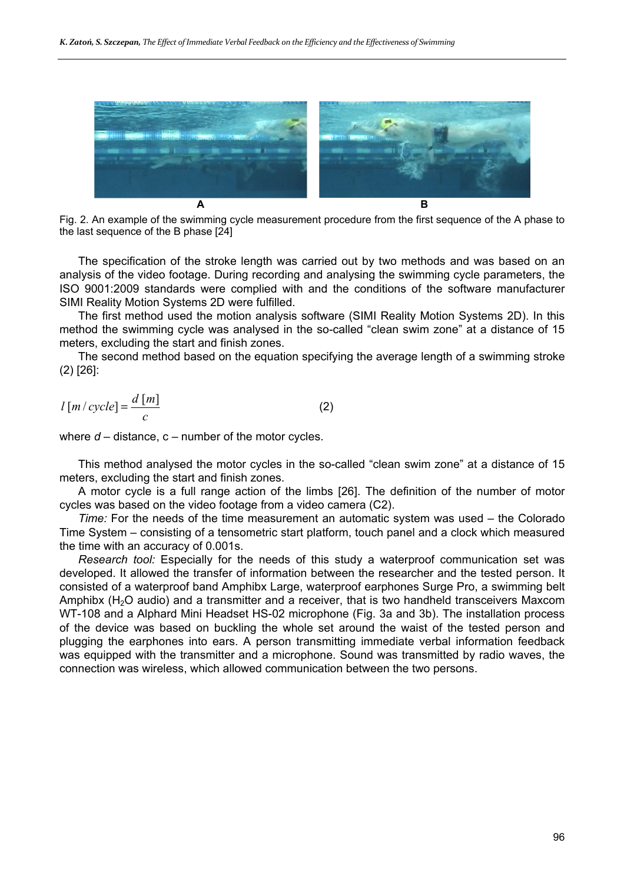

Fig. 2. An example of the swimming cycle measurement procedure from the first sequence of the A phase to the last sequence of the B phase [24]

The specification of the stroke length was carried out by two methods and was based on an analysis of the video footage. During recording and analysing the swimming cycle parameters, the ISO 9001:2009 standards were complied with and the conditions of the software manufacturer SIMI Reality Motion Systems 2D were fulfilled.

The first method used the motion analysis software (SIMI Reality Motion Systems 2D). In this method the swimming cycle was analysed in the so-called "clean swim zone" at a distance of 15 meters, excluding the start and finish zones.

The second method based on the equation specifying the average length of a swimming stroke (2) [26]:

$$
l\left[m/\operatorname{cycle}\right]=\frac{d\left[m\right]}{c}\tag{2}
$$

where  $d$  – distance,  $c$  – number of the motor cycles.

This method analysed the motor cycles in the so-called "clean swim zone" at a distance of 15 meters, excluding the start and finish zones.

A motor cycle is a full range action of the limbs [26]. The definition of the number of motor cycles was based on the video footage from a video camera (C2).

*Time:* For the needs of the time measurement an automatic system was used – the Colorado Time System – consisting of a tensometric start platform, touch panel and a clock which measured the time with an accuracy of 0.001s.

*Research tool:* Especially for the needs of this study a waterproof communication set was developed. It allowed the transfer of information between the researcher and the tested person. It consisted of a waterproof band Amphibx Large, waterproof earphones Surge Pro, a swimming belt Amphibx  $(H<sub>2</sub>O$  audio) and a transmitter and a receiver, that is two handheld transceivers Maxcom WT-108 and a Alphard Mini Headset HS-02 microphone (Fig. 3a and 3b). The installation process of the device was based on buckling the whole set around the waist of the tested person and plugging the earphones into ears. A person transmitting immediate verbal information feedback was equipped with the transmitter and a microphone. Sound was transmitted by radio waves, the connection was wireless, which allowed communication between the two persons.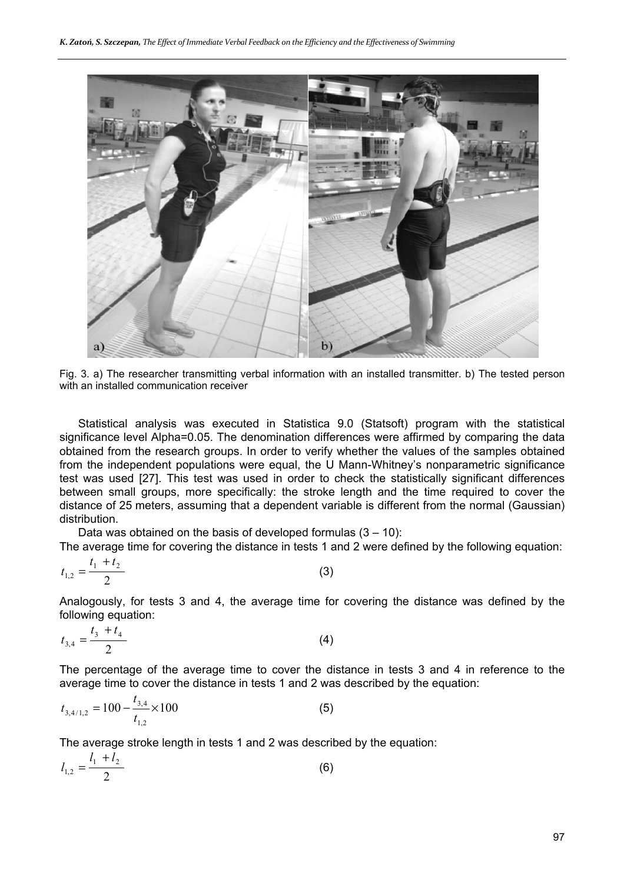

Fig. 3. a) The researcher transmitting verbal information with an installed transmitter. b) The tested person with an installed communication receiver

Statistical analysis was executed in Statistica 9.0 (Statsoft) program with the statistical significance level Alpha=0.05. The denomination differences were affirmed by comparing the data obtained from the research groups. In order to verify whether the values of the samples obtained from the independent populations were equal, the U Mann-Whitney's nonparametric significance test was used [27]. This test was used in order to check the statistically significant differences between small groups, more specifically: the stroke length and the time required to cover the distance of 25 meters, assuming that a dependent variable is different from the normal (Gaussian) distribution.

Data was obtained on the basis of developed formulas  $(3 - 10)$ :

The average time for covering the distance in tests 1 and 2 were defined by the following equation:

$$
t_{1,2} = \frac{t_1 + t_2}{2} \tag{3}
$$

Analogously, for tests 3 and 4, the average time for covering the distance was defined by the following equation:

$$
t_{3,4} = \frac{t_3 + t_4}{2} \tag{4}
$$

The percentage of the average time to cover the distance in tests 3 and 4 in reference to the average time to cover the distance in tests 1 and 2 was described by the equation:

$$
t_{3,4/1,2} = 100 - \frac{t_{3,4}}{t_{1,2}} \times 100
$$
 (5)

The average stroke length in tests 1 and 2 was described by the equation:

$$
l_{1,2} = \frac{l_1 + l_2}{2} \tag{6}
$$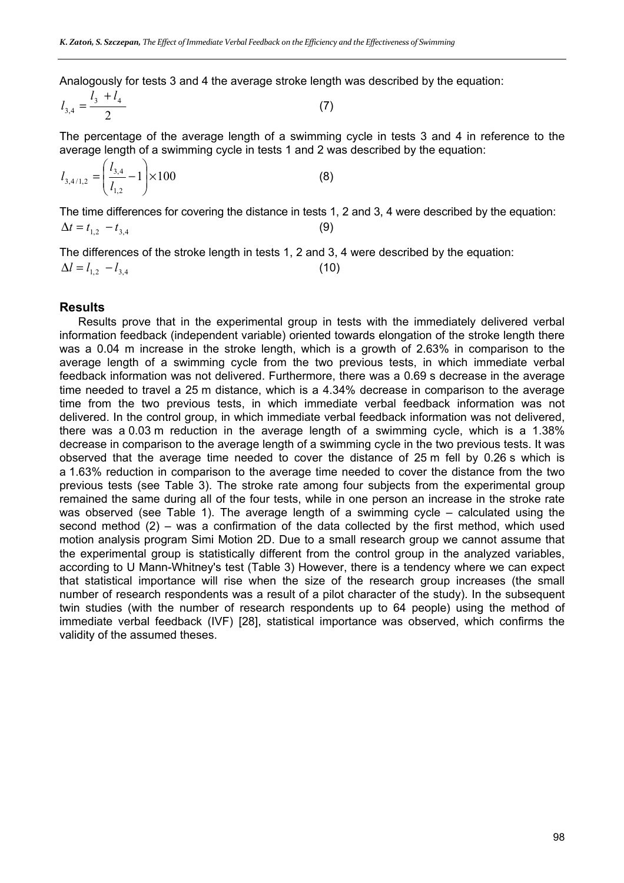Analogously for tests 3 and 4 the average stroke length was described by the equation:

$$
l_{3,4} = \frac{l_3 + l_4}{2} \tag{7}
$$

The percentage of the average length of a swimming cycle in tests 3 and 4 in reference to the average length of a swimming cycle in tests 1 and 2 was described by the equation:

$$
l_{3,4/1,2} = \left(\frac{l_{3,4}}{l_{1,2}} - 1\right) \times 100\tag{8}
$$

The time differences for covering the distance in tests 1, 2 and 3, 4 were described by the equation:  $\Delta t = t_{12} - t_{34}$  (9)

The differences of the stroke length in tests 1, 2 and 3, 4 were described by the equation:  $\Delta l = l_{12} - l_{34}$  (10)

#### **Results**

Results prove that in the experimental group in tests with the immediately delivered verbal information feedback (independent variable) oriented towards elongation of the stroke length there was a 0.04 m increase in the stroke length, which is a growth of 2.63% in comparison to the average length of a swimming cycle from the two previous tests, in which immediate verbal feedback information was not delivered. Furthermore, there was a 0.69 s decrease in the average time needed to travel a 25 m distance, which is a 4.34% decrease in comparison to the average time from the two previous tests, in which immediate verbal feedback information was not delivered. In the control group, in which immediate verbal feedback information was not delivered, there was a 0.03 m reduction in the average length of a swimming cycle, which is a 1.38% decrease in comparison to the average length of a swimming cycle in the two previous tests. It was observed that the average time needed to cover the distance of 25 m fell by 0.26 s which is a 1.63% reduction in comparison to the average time needed to cover the distance from the two previous tests (see Table 3). The stroke rate among four subjects from the experimental group remained the same during all of the four tests, while in one person an increase in the stroke rate was observed (see Table 1). The average length of a swimming cycle – calculated using the second method  $(2)$  – was a confirmation of the data collected by the first method, which used motion analysis program Simi Motion 2D. Due to a small research group we cannot assume that the experimental group is statistically different from the control group in the analyzed variables, according to U Mann-Whitney's test (Table 3) However, there is a tendency where we can expect that statistical importance will rise when the size of the research group increases (the small number of research respondents was a result of a pilot character of the study). In the subsequent twin studies (with the number of research respondents up to 64 people) using the method of immediate verbal feedback (IVF) [28], statistical importance was observed, which confirms the validity of the assumed theses.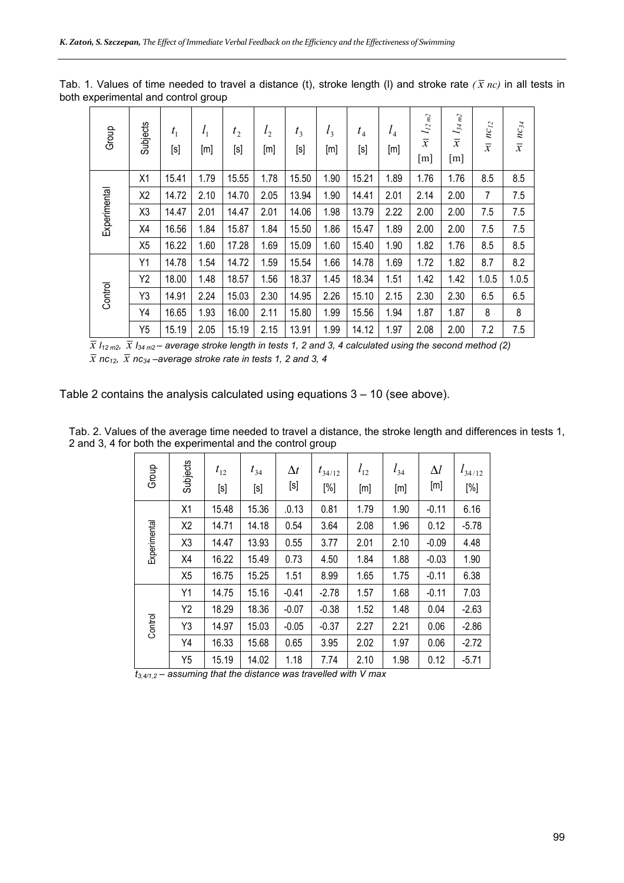| Group        | Subjects       | $t_{1}$<br>[s] | $l_1$<br>[m] | t <sub>2</sub><br>[s] | l <sub>2</sub><br>[m] | $t_3$<br>[s] | $l_3$<br>[m] | $t_4$<br>$[\mathsf{s}]$ | $l_4$<br>[m] | $l_{\rm 12\,m2}$<br>$\overline{x}$<br>[m] | $l_{34\,m2}$<br>$\overline{x}$<br>[m] | $nc_{12}$<br>$\overline{x}$ | $nc_{34}$<br>$\overline{x}$ |
|--------------|----------------|----------------|--------------|-----------------------|-----------------------|--------------|--------------|-------------------------|--------------|-------------------------------------------|---------------------------------------|-----------------------------|-----------------------------|
| Experimental | X1             | 15.41          | 1.79         | 15.55                 | 1.78                  | 15.50        | 1.90         | 15.21                   | 1.89         | 1.76                                      | 1.76                                  | 8.5                         | 8.5                         |
|              | X <sub>2</sub> | 14.72          | 2.10         | 14.70                 | 2.05                  | 13.94        | 1.90         | 14.41                   | 2.01         | 2.14                                      | 2.00                                  | 7                           | 7.5                         |
|              | X3             | 14.47          | 2.01         | 14.47                 | 2.01                  | 14.06        | 1.98         | 13.79                   | 2.22         | 2.00                                      | 2.00                                  | 7.5                         | 7.5                         |
|              | X4             | 16.56          | 1.84         | 15.87                 | 1.84                  | 15.50        | 1.86         | 15.47                   | 1.89         | 2.00                                      | 2.00                                  | 7.5                         | 7.5                         |
|              | X <sub>5</sub> | 16.22          | 1.60         | 17.28                 | 1.69                  | 15.09        | 1.60         | 15.40                   | 1.90         | 1.82                                      | 1.76                                  | 8.5                         | 8.5                         |
| Control      | Y1             | 14.78          | 1.54         | 14.72                 | 1.59                  | 15.54        | 1.66         | 14.78                   | 1.69         | 1.72                                      | 1.82                                  | 8.7                         | 8.2                         |
|              | Y2             | 18.00          | 1.48         | 18.57                 | 1.56                  | 18.37        | 1.45         | 18.34                   | 1.51         | 1.42                                      | 1.42                                  | 1.0.5                       | 1.0.5                       |
|              | Y3             | 14.91          | 2.24         | 15.03                 | 2.30                  | 14.95        | 2.26         | 15.10                   | 2.15         | 2.30                                      | 2.30                                  | 6.5                         | 6.5                         |
|              | Y4             | 16.65          | 1.93         | 16.00                 | 2.11                  | 15.80        | 1.99         | 15.56                   | 1.94         | 1.87                                      | 1.87                                  | 8                           | 8                           |
|              | Y <sub>5</sub> | 15.19          | 2.05         | 15.19                 | 2.15                  | 13.91        | 1.99         | 14.12                   | 1.97         | 2.08                                      | 2.00                                  | 7.2                         | 7.5                         |

Tab. 1. Values of time needed to travel a distance (t), stroke length (I) and stroke rate  $(\bar{x}$  *nc*) in all tests in both experimental and control group

 $\overline{\overline{x}}$  *l*<sub>12 m2</sub>,  $\overline{\overline{x}}$  *l*<sub>34 m2</sub> – average stroke length in tests 1, 2 and 3, 4 calculated using the second method (2)  $\overline{x}$  *nc*<sub>12</sub>,  $\overline{x}$  *nc*<sub>34</sub> –average stroke rate in tests 1, 2 and 3, 4

Table 2 contains the analysis calculated using equations 3 – 10 (see above).

| Group        | Subjects       | $t_{12}$<br>[s] | $t_{34}$<br>[s] | $\Delta t$<br>$[\mathsf{s}]$ | $t_{34/12}$<br>$[\%]$ | $l_{12}$<br>[m] | $l_{34}$<br>[m] | $\Delta l$<br>[m] | $l_{34/12}$<br>$[\%]$ |
|--------------|----------------|-----------------|-----------------|------------------------------|-----------------------|-----------------|-----------------|-------------------|-----------------------|
|              | X1             | 15.48           | 15.36           | .0.13                        | 0.81                  | 1.79            | 1.90            | $-0.11$           | 6.16                  |
| Experimental | X2             | 14.71           | 14.18           | 0.54                         | 3.64                  | 2.08            | 1.96            | 0.12              | $-5.78$               |
|              | X3             | 14.47           | 13.93           | 0.55                         | 3.77                  | 2.01            | 2.10            | $-0.09$           | 4.48                  |
|              | X4             | 16.22           | 15.49           | 0.73                         | 4.50                  | 1.84            | 1.88            | $-0.03$           | 1.90                  |
|              | X <sub>5</sub> | 16.75           | 15.25           | 1.51                         | 8.99                  | 1.65            | 1.75            | $-0.11$           | 6.38                  |
|              | Y1             | 14.75           | 15.16           | $-0.41$                      | $-2.78$               | 1.57            | 1.68            | $-0.11$           | 7.03                  |
| Control      | Y2             | 18.29           | 18.36           | $-0.07$                      | $-0.38$               | 1.52            | 1.48            | 0.04              | $-2.63$               |
|              | Y3             | 14.97           | 15.03           | $-0.05$                      | $-0.37$               | 2.27            | 2.21            | 0.06              | $-2.86$               |
|              | Y4             | 16.33           | 15.68           | 0.65                         | 3.95                  | 2.02            | 1.97            | 0.06              | $-2.72$               |
|              | Y <sub>5</sub> | 15.19           | 14.02           | 1.18                         | 7.74                  | 2.10            | 1.98            | 0.12              | $-5.71$               |

Tab. 2. Values of the average time needed to travel a distance, the stroke length and differences in tests 1, 2 and 3, 4 for both the experimental and the control group

*t3,4/1,2 – assuming that the distance was travelled with V max*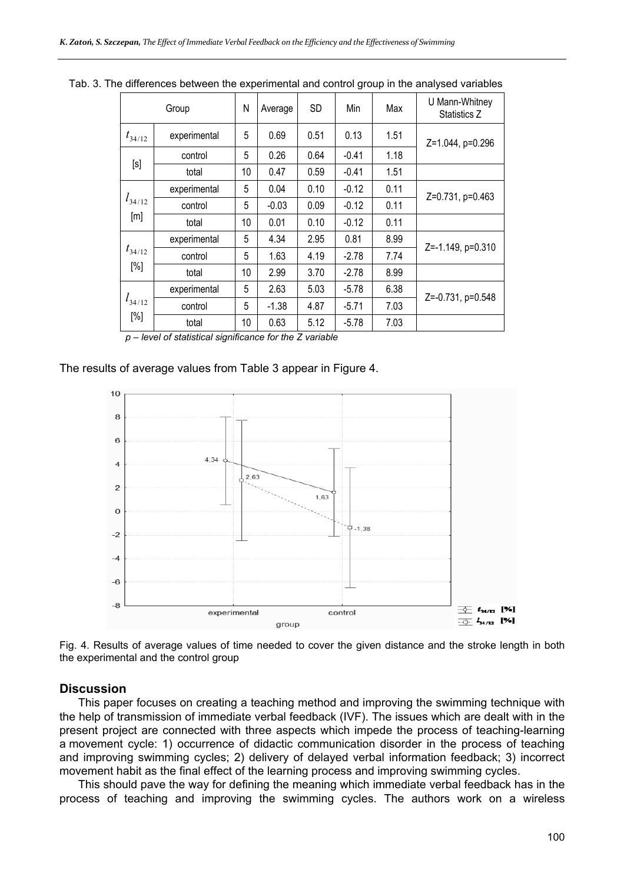| Group              |              | N  | Average | SD   | Min     | Max  | U Mann-Whitney<br>Statistics Z |  |  |
|--------------------|--------------|----|---------|------|---------|------|--------------------------------|--|--|
| $t_{34/12}$        | experimental | 5  | 0.69    | 0.51 | 0.13    | 1.51 | Z=1.044, p=0.296               |  |  |
| [s]                | control      | 5  | 0.26    | 0.64 | $-0.41$ | 1.18 |                                |  |  |
|                    | total        | 10 | 0.47    | 0.59 | $-0.41$ | 1.51 |                                |  |  |
| $l_{34/12}$<br>[m] | experimental | 5  | 0.04    | 0.10 | $-0.12$ | 0.11 |                                |  |  |
|                    | control      | 5  | $-0.03$ | 0.09 | $-0.12$ | 0.11 | Z=0.731, p=0.463               |  |  |
|                    | total        | 10 | 0.01    | 0.10 | $-0.12$ | 0.11 |                                |  |  |
| $t_{34/12}$<br>[%] | experimental | 5  | 4.34    | 2.95 | 0.81    | 8.99 |                                |  |  |
|                    | control      | 5  | 1.63    | 4.19 | $-2.78$ | 7.74 | Z=-1.149, p=0.310              |  |  |
|                    | total        | 10 | 2.99    | 3.70 | $-2.78$ | 8.99 |                                |  |  |
| $l_{34/12}$<br>[%] | experimental | 5  | 2.63    | 5.03 | $-5.78$ | 6.38 | Z=-0.731, p=0.548              |  |  |
|                    | control      | 5  | $-1.38$ | 4.87 | $-5.71$ | 7.03 |                                |  |  |
|                    | total        | 10 | 0.63    | 5.12 | $-5.78$ | 7.03 |                                |  |  |

Tab. 3. The differences between the experimental and control group in the analysed variables

*p – level of statistical significance for the Z variable* 

#### The results of average values from Table 3 appear in Figure 4.



Fig. 4. Results of average values of time needed to cover the given distance and the stroke length in both the experimental and the control group

#### **Discussion**

This paper focuses on creating a teaching method and improving the swimming technique with the help of transmission of immediate verbal feedback (IVF). The issues which are dealt with in the present project are connected with three aspects which impede the process of teaching-learning a movement cycle: 1) occurrence of didactic communication disorder in the process of teaching and improving swimming cycles; 2) delivery of delayed verbal information feedback; 3) incorrect movement habit as the final effect of the learning process and improving swimming cycles.

This should pave the way for defining the meaning which immediate verbal feedback has in the process of teaching and improving the swimming cycles. The authors work on a wireless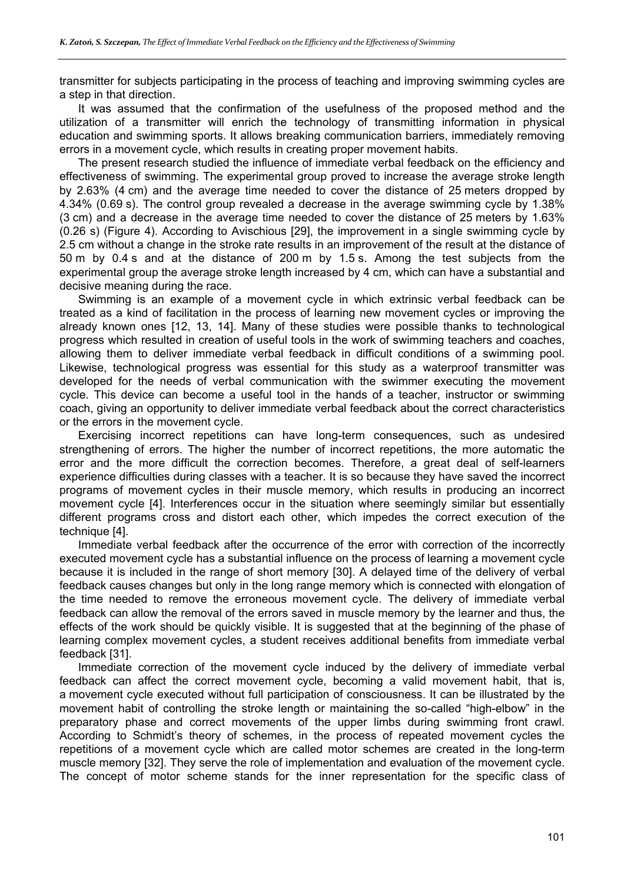transmitter for subjects participating in the process of teaching and improving swimming cycles are a step in that direction.

It was assumed that the confirmation of the usefulness of the proposed method and the utilization of a transmitter will enrich the technology of transmitting information in physical education and swimming sports. It allows breaking communication barriers, immediately removing errors in a movement cycle, which results in creating proper movement habits.

The present research studied the influence of immediate verbal feedback on the efficiency and effectiveness of swimming. The experimental group proved to increase the average stroke length by 2.63% (4 cm) and the average time needed to cover the distance of 25 meters dropped by 4.34% (0.69 s). The control group revealed a decrease in the average swimming cycle by 1.38% (3 cm) and a decrease in the average time needed to cover the distance of 25 meters by 1.63% (0.26 s) (Figure 4). According to Avischious [29], the improvement in a single swimming cycle by 2.5 cm without a change in the stroke rate results in an improvement of the result at the distance of 50 m by 0.4 s and at the distance of 200 m by 1.5 s. Among the test subjects from the experimental group the average stroke length increased by 4 cm, which can have a substantial and decisive meaning during the race.

Swimming is an example of a movement cycle in which extrinsic verbal feedback can be treated as a kind of facilitation in the process of learning new movement cycles or improving the already known ones [12, 13, 14]. Many of these studies were possible thanks to technological progress which resulted in creation of useful tools in the work of swimming teachers and coaches, allowing them to deliver immediate verbal feedback in difficult conditions of a swimming pool. Likewise, technological progress was essential for this study as a waterproof transmitter was developed for the needs of verbal communication with the swimmer executing the movement cycle. This device can become a useful tool in the hands of a teacher, instructor or swimming coach, giving an opportunity to deliver immediate verbal feedback about the correct characteristics or the errors in the movement cycle.

Exercising incorrect repetitions can have long-term consequences, such as undesired strengthening of errors. The higher the number of incorrect repetitions, the more automatic the error and the more difficult the correction becomes. Therefore, a great deal of self-learners experience difficulties during classes with a teacher. It is so because they have saved the incorrect programs of movement cycles in their muscle memory, which results in producing an incorrect movement cycle [4]. Interferences occur in the situation where seemingly similar but essentially different programs cross and distort each other, which impedes the correct execution of the technique [4].

Immediate verbal feedback after the occurrence of the error with correction of the incorrectly executed movement cycle has a substantial influence on the process of learning a movement cycle because it is included in the range of short memory [30]. A delayed time of the delivery of verbal feedback causes changes but only in the long range memory which is connected with elongation of the time needed to remove the erroneous movement cycle. The delivery of immediate verbal feedback can allow the removal of the errors saved in muscle memory by the learner and thus, the effects of the work should be quickly visible. It is suggested that at the beginning of the phase of learning complex movement cycles, a student receives additional benefits from immediate verbal feedback [31].

Immediate correction of the movement cycle induced by the delivery of immediate verbal feedback can affect the correct movement cycle, becoming a valid movement habit, that is, a movement cycle executed without full participation of consciousness. It can be illustrated by the movement habit of controlling the stroke length or maintaining the so-called "high-elbow" in the preparatory phase and correct movements of the upper limbs during swimming front crawl. According to Schmidt's theory of schemes, in the process of repeated movement cycles the repetitions of a movement cycle which are called motor schemes are created in the long-term muscle memory [32]. They serve the role of implementation and evaluation of the movement cycle. The concept of motor scheme stands for the inner representation for the specific class of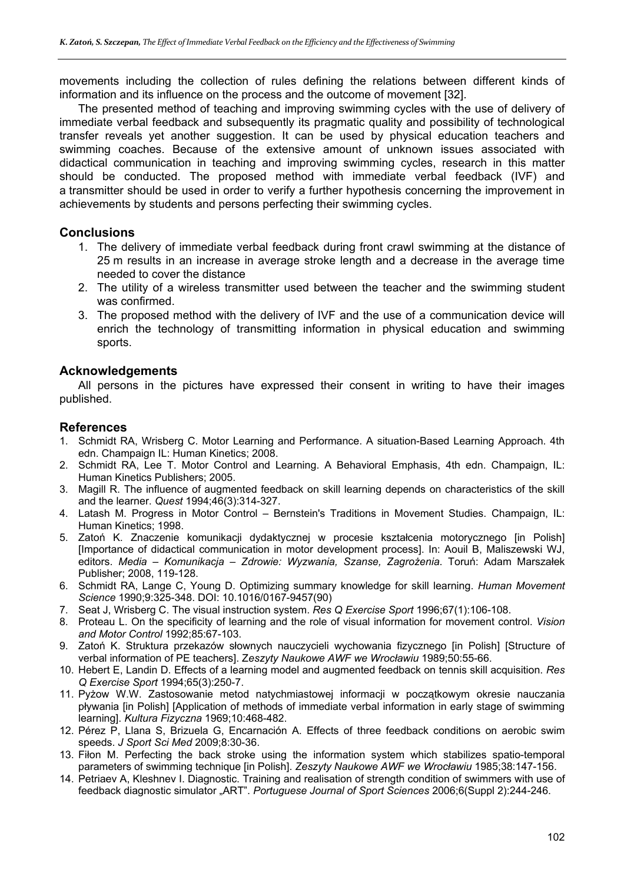movements including the collection of rules defining the relations between different kinds of information and its influence on the process and the outcome of movement [32].

The presented method of teaching and improving swimming cycles with the use of delivery of immediate verbal feedback and subsequently its pragmatic quality and possibility of technological transfer reveals yet another suggestion. It can be used by physical education teachers and swimming coaches. Because of the extensive amount of unknown issues associated with didactical communication in teaching and improving swimming cycles, research in this matter should be conducted. The proposed method with immediate verbal feedback (IVF) and a transmitter should be used in order to verify a further hypothesis concerning the improvement in achievements by students and persons perfecting their swimming cycles.

## **Conclusions**

- 1. The delivery of immediate verbal feedback during front crawl swimming at the distance of 25 m results in an increase in average stroke length and a decrease in the average time needed to cover the distance
- 2. The utility of a wireless transmitter used between the teacher and the swimming student was confirmed.
- 3. The proposed method with the delivery of IVF and the use of a communication device will enrich the technology of transmitting information in physical education and swimming sports.

## **Acknowledgements**

All persons in the pictures have expressed their consent in writing to have their images published.

### **References**

- 1. Schmidt RA, Wrisberg C. Motor Learning and Performance. A situation-Based Learning Approach. 4th edn. Champaign IL: Human Kinetics; 2008.
- 2. Schmidt RA, Lee T. Motor Control and Learning. A Behavioral Emphasis, 4th edn. Champaign, IL: Human Kinetics Publishers; 2005.
- 3. Magill R. The influence of augmented feedback on skill learning depends on characteristics of the skill and the learner. *Quest* 1994;46(3):314-327.
- 4. Latash M. Progress in Motor Control Bernstein's Traditions in Movement Studies. Champaign, IL: Human Kinetics; 1998.
- 5. Zatoń K. Znaczenie komunikacji dydaktycznej w procesie kształcenia motorycznego [in Polish] [Importance of didactical communication in motor development process]. In: Aouil B, Maliszewski WJ, editors. *Media – Komunikacja – Zdrowie: Wyzwania, Szanse, Zagrożenia*. Toruń: Adam Marszałek Publisher; 2008, 119-128.
- 6. Schmidt RA, Lange C, Young D. Optimizing summary knowledge for skill learning. *Human Movement Science* 1990;9:325-348. DOI: 10.1016/0167-9457(90)
- 7. Seat J, Wrisberg C. The visual instruction system. *Res Q Exercise Sport* 1996;67(1):106-108.
- 8. Proteau L. On the specificity of learning and the role of visual information for movement control. *Vision and Motor Control* 1992;85:67-103.
- 9. Zatoń K. Struktura przekazów słownych nauczycieli wychowania fizycznego [in Polish] [Structure of verbal information of PE teachers]. Z*eszyty Naukowe AWF we Wrocławiu* 1989;50:55-66.
- 10. Hebert E, Landin D. Effects of a learning model and augmented feedback on tennis skill acquisition. *Res Q Exercise Sport* 1994;65(3):250-7.
- 11. Pyżow W.W. Zastosowanie metod natychmiastowej informacji w początkowym okresie nauczania pływania [in Polish] [Application of methods of immediate verbal information in early stage of swimming learning]. *Kultura Fizyczna* 1969;10:468-482.
- 12. Pérez P, Llana S, Brizuela G, Encarnación A. Effects of three feedback conditions on aerobic swim speeds. *J Sport Sci Med* 2009;8:30-36.
- 13. Fiłon M. Perfecting the back stroke using the information system which stabilizes spatio-temporal parameters of swimming technique [in Polish]. *Zeszyty Naukowe AWF we Wrocławiu* 1985;38:147-156.
- 14. Petriaev A, Kleshnev I. Diagnostic. Training and realisation of strength condition of swimmers with use of feedback diagnostic simulator "ART". *Portuguese Journal of Sport Sciences* 2006;6(Suppl 2):244-246.